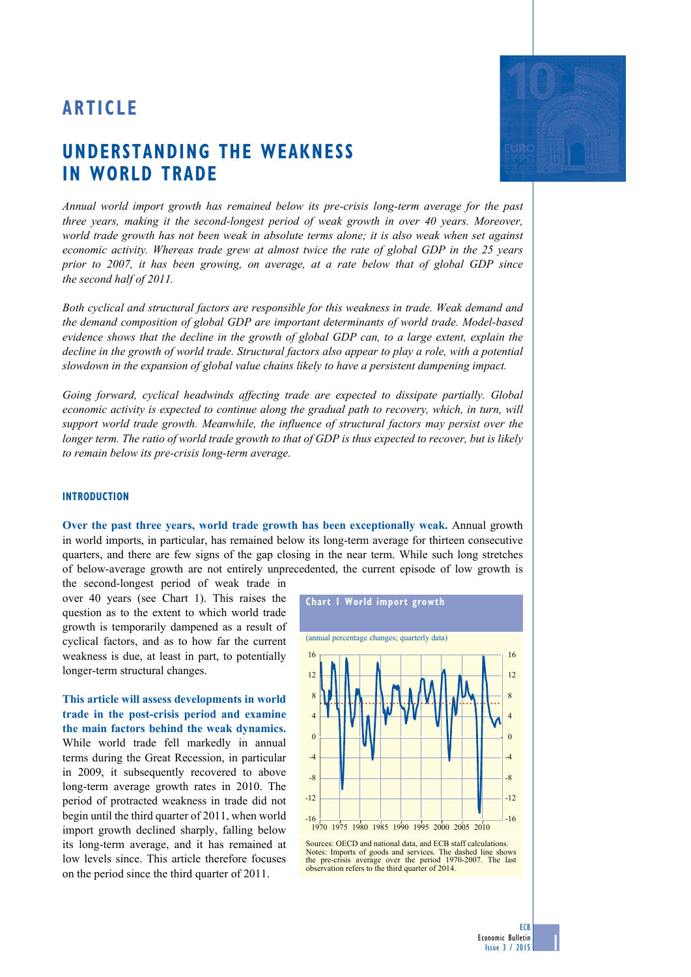# **ARTICLE**

# **Understanding the weakness in world trade**

*Annual world import growth has remained below its pre-crisis long-term average for the past three years, making it the second-longest period of weak growth in over 40 years. Moreover, world trade growth has not been weak in absolute terms alone; it is also weak when set against economic activity. Whereas trade grew at almost twice the rate of global GDP in the 25 years prior to 2007, it has been growing, on average, at a rate below that of global GDP since the second half of 2011.* 

*Both cyclical and structural factors are responsible for this weakness in trade. Weak demand and the demand composition of global GDP are important determinants of world trade. Model-based evidence shows that the decline in the growth of global GDP can, to a large extent, explain the decline in the growth of world trade. Structural factors also appear to play a role, with a potential slowdown in the expansion of global value chains likely to have a persistent dampening impact.* 

*Going forward, cyclical headwinds affecting trade are expected to dissipate partially. Global economic activity is expected to continue along the gradual path to recovery, which, in turn, will support world trade growth. Meanwhile, the influence of structural factors may persist over the longer term. The ratio of world trade growth to that of GDP is thus expected to recover, but is likely to remain below its pre-crisis long-term average.*

#### **Introduction**

**Over the past three years, world trade growth has been exceptionally weak.** Annual growth in world imports, in particular, has remained below its long-term average for thirteen consecutive quarters, and there are few signs of the gap closing in the near term. While such long stretches of below-average growth are not entirely unprecedented, the current episode of low growth is

the second-longest period of weak trade in over 40 years (see Chart 1). This raises the question as to the extent to which world trade growth is temporarily dampened as a result of cyclical factors, and as to how far the current weakness is due, at least in part, to potentially longer-term structural changes.

**This article will assess developments in world trade in the post-crisis period and examine the main factors behind the weak dynamics.** While world trade fell markedly in annual terms during the Great Recession, in particular in 2009, it subsequently recovered to above long-term average growth rates in 2010. The period of protracted weakness in trade did not begin until the third quarter of 2011, when world import growth declined sharply, falling below its long-term average, and it has remained at low levels since. This article therefore focuses on the period since the third quarter of 2011.



Notes: Imports of goods and services. The dashed line shows the pre-crisis average over the period 1970-2007. The last observation refers to the third quarter of 2014.

1

**ECB** Economic Bulletin Issue 3 / 2015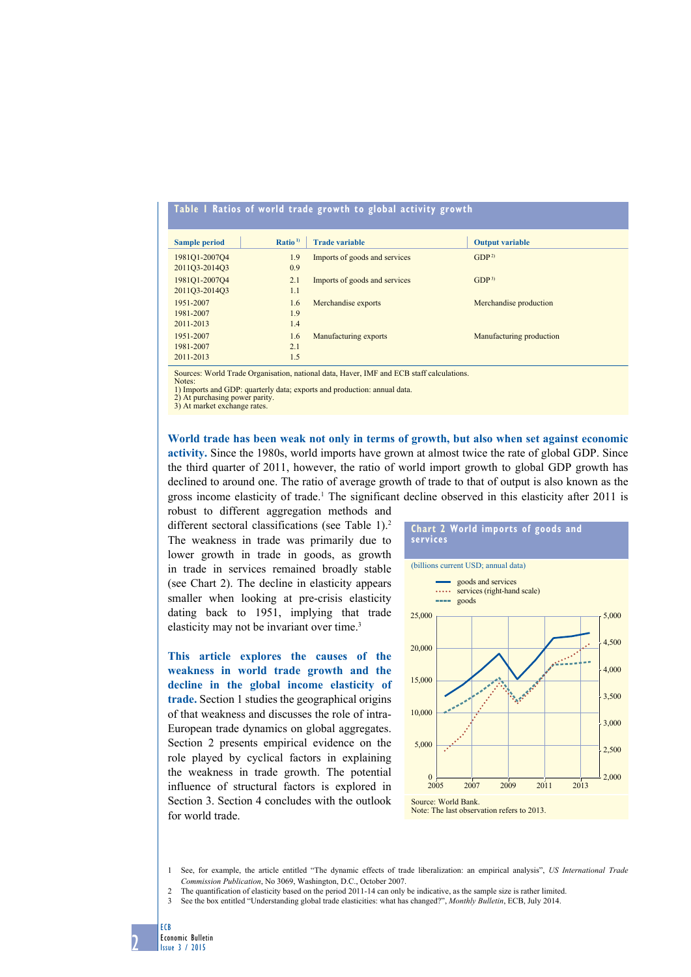## **Table 1 Ratios of world trade growth to global activity growth**

| <b>Sample period</b> | Ratio <sup>1</sup> | <b>Trade variable</b>         | <b>Output variable</b>   |
|----------------------|--------------------|-------------------------------|--------------------------|
| 1981Q1-2007Q4        | 1.9                | Imports of goods and services | GDP <sup>2</sup>         |
| 2011Q3-2014Q3        | 0.9                |                               |                          |
| 1981Q1-2007Q4        | 2.1                | Imports of goods and services | GDP <sup>3</sup>         |
| 2011Q3-2014Q3        | 1.1                |                               |                          |
| 1951-2007            | 1.6                | Merchandise exports           | Merchandise production   |
| 1981-2007            | 1.9                |                               |                          |
| 2011-2013            | 1.4                |                               |                          |
| 1951-2007            | 1.6                | Manufacturing exports         | Manufacturing production |
| 1981-2007            | 2.1                |                               |                          |
| 2011-2013            | 1.5                |                               |                          |

Sources: World Trade Organisation, national data, Haver, IMF and ECB staff calculations.

Notes: 1) Imports and GDP: quarterly data; exports and production: annual data.

2) At purchasing power parity. 3) At market exchange rates.

**World trade has been weak not only in terms of growth, but also when set against economic activity.** Since the 1980s, world imports have grown at almost twice the rate of global GDP. Since the third quarter of 2011, however, the ratio of world import growth to global GDP growth has declined to around one. The ratio of average growth of trade to that of output is also known as the gross income elasticity of trade.<sup>1</sup> The significant decline observed in this elasticity after 2011 is

robust to different aggregation methods and different sectoral classifications (see Table 1).<sup>2</sup> The weakness in trade was primarily due to lower growth in trade in goods, as growth in trade in services remained broadly stable (see Chart 2). The decline in elasticity appears smaller when looking at pre-crisis elasticity dating back to 1951, implying that trade elasticity may not be invariant over time.<sup>3</sup>

**This article explores the causes of the weakness in world trade growth and the decline in the global income elasticity of trade.** Section 1 studies the geographical origins of that weakness and discusses the role of intra-European trade dynamics on global aggregates. Section 2 presents empirical evidence on the role played by cyclical factors in explaining the weakness in trade growth. The potential influence of structural factors is explored in Section 3. Section 4 concludes with the outlook for world trade.



1 See, for example, the article entitled "The dynamic effects of trade liberalization: an empirical analysis", *US International Trade Commission Publication*, No 3069, Washington, D.C., October 2007.

- 2 The quantification of elasticity based on the period 2011-14 can only be indicative, as the sample size is rather limited.
- 3 See the box entitled "Understanding global trade elasticities: what has changed?", *Monthly Bulletin*, ECB, July 2014.

ECB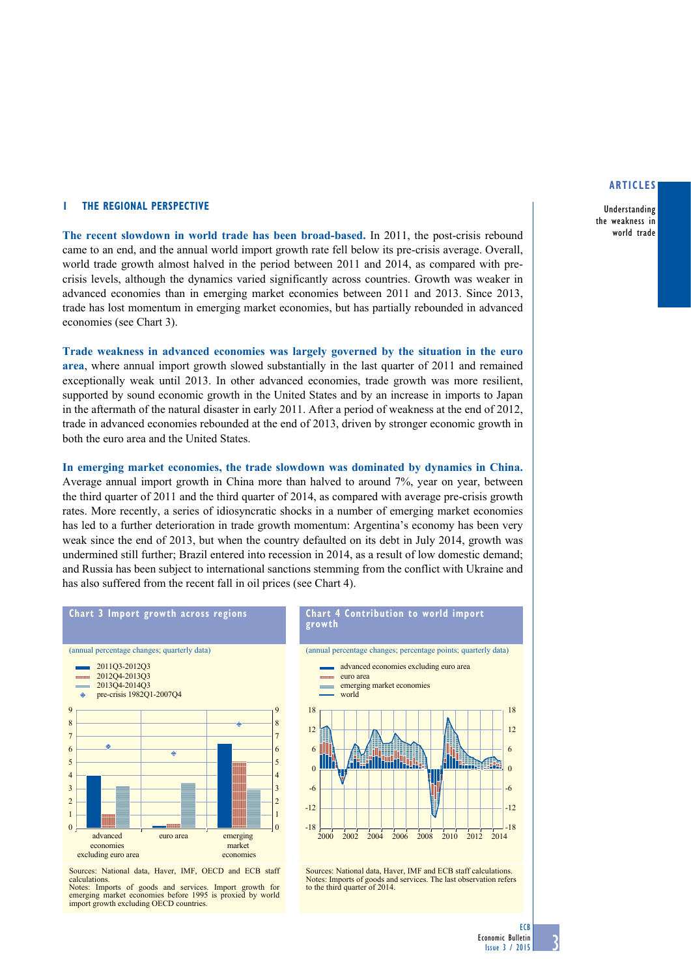#### **1 The regional perspective**

**The recent slowdown in world trade has been broad-based.** In 2011, the post-crisis rebound came to an end, and the annual world import growth rate fell below its pre-crisis average. Overall, world trade growth almost halved in the period between 2011 and 2014, as compared with precrisis levels, although the dynamics varied significantly across countries. Growth was weaker in advanced economies than in emerging market economies between 2011 and 2013. Since 2013, trade has lost momentum in emerging market economies, but has partially rebounded in advanced economies (see Chart 3).

**Trade weakness in advanced economies was largely governed by the situation in the euro area**, where annual import growth slowed substantially in the last quarter of 2011 and remained exceptionally weak until 2013. In other advanced economies, trade growth was more resilient, supported by sound economic growth in the United States and by an increase in imports to Japan in the aftermath of the natural disaster in early 2011. After a period of weakness at the end of 2012, trade in advanced economies rebounded at the end of 2013, driven by stronger economic growth in both the euro area and the United States.

**In emerging market economies, the trade slowdown was dominated by dynamics in China.** Average annual import growth in China more than halved to around 7%, year on year, between the third quarter of 2011 and the third quarter of 2014, as compared with average pre-crisis growth rates. More recently, a series of idiosyncratic shocks in a number of emerging market economies has led to a further deterioration in trade growth momentum: Argentina's economy has been very weak since the end of 2013, but when the country defaulted on its debt in July 2014, growth was undermined still further; Brazil entered into recession in 2014, as a result of low domestic demand; and Russia has been subject to international sanctions stemming from the conflict with Ukraine and has also suffered from the recent fall in oil prices (see Chart 4).



Sources: National data, Haver, IMF, OECD and ECB staff

calculations. Notes: Imports of goods and services. Import growth for emerging market economies before 1995 is proxied by world import growth excluding OECD countries.



Sources: National data, Haver, IMF and ECB staff calculations. Notes: Imports of goods and services. The last observation refers to the third quarter of 2014.

## **articles**

Understanding the weakness in world trade

**ECB**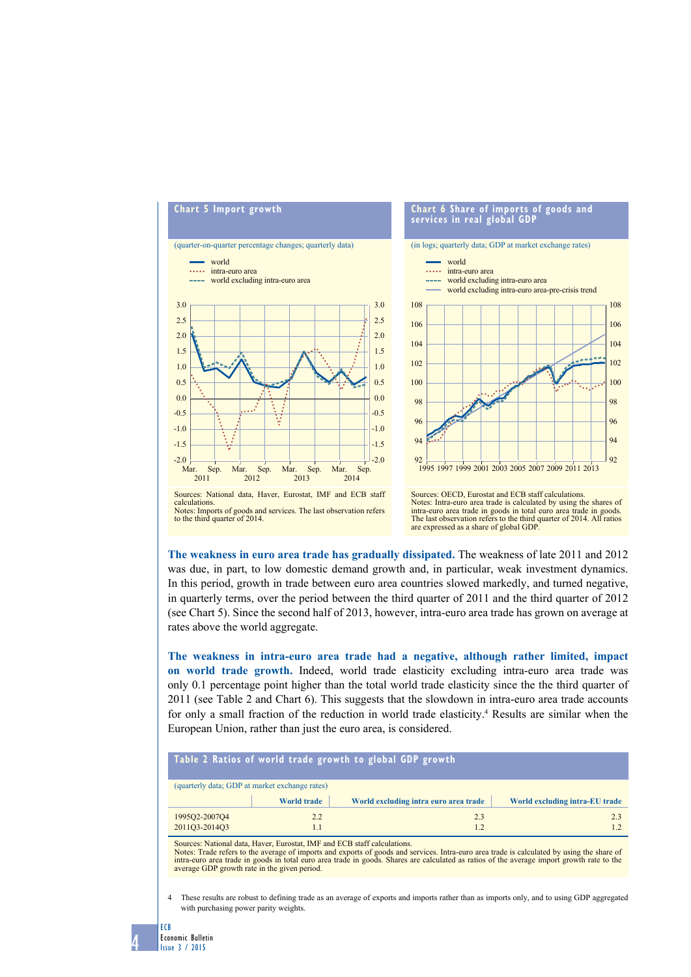

**The weakness in euro area trade has gradually dissipated.** The weakness of late 2011 and 2012 was due, in part, to low domestic demand growth and, in particular, weak investment dynamics. In this period, growth in trade between euro area countries slowed markedly, and turned negative, in quarterly terms, over the period between the third quarter of 2011 and the third quarter of 2012 (see Chart 5). Since the second half of 2013, however, intra-euro area trade has grown on average at rates above the world aggregate.

**The weakness in intra-euro area trade had a negative, although rather limited, impact on world trade growth.** Indeed, world trade elasticity excluding intra-euro area trade was only 0.1 percentage point higher than the total world trade elasticity since the the third quarter of 2011 (see Table 2 and Chart 6). This suggests that the slowdown in intra-euro area trade accounts for only a small fraction of the reduction in world trade elasticity.<sup>4</sup> Results are similar when the European Union, rather than just the euro area, is considered.

| Table 2 Ratios of world trade growth to global GDP growth |                    |                                       |                                |  |  |  |
|-----------------------------------------------------------|--------------------|---------------------------------------|--------------------------------|--|--|--|
| (quarterly data; GDP at market exchange rates)            |                    |                                       |                                |  |  |  |
|                                                           | <b>World trade</b> | World excluding intra euro area trade | World excluding intra-EU trade |  |  |  |
| 1995Q2-2007Q4                                             | 2.2                | 23                                    | 23                             |  |  |  |
| 2011Q3-2014Q3                                             |                    |                                       |                                |  |  |  |

Sources: National data, Haver, Eurostat, IMF and ECB staff calculations.

Notes: Trade refers to the average of imports and exports of goods and services. Intra-euro area trade is calculated by using the share of<br>intra-euro area trade in goods in total euro area trade in goods. Shares are calcul average GDP growth rate in the given period.

4 These results are robust to defining trade as an average of exports and imports rather than as imports only, and to using GDP aggregated with purchasing power parity weights.

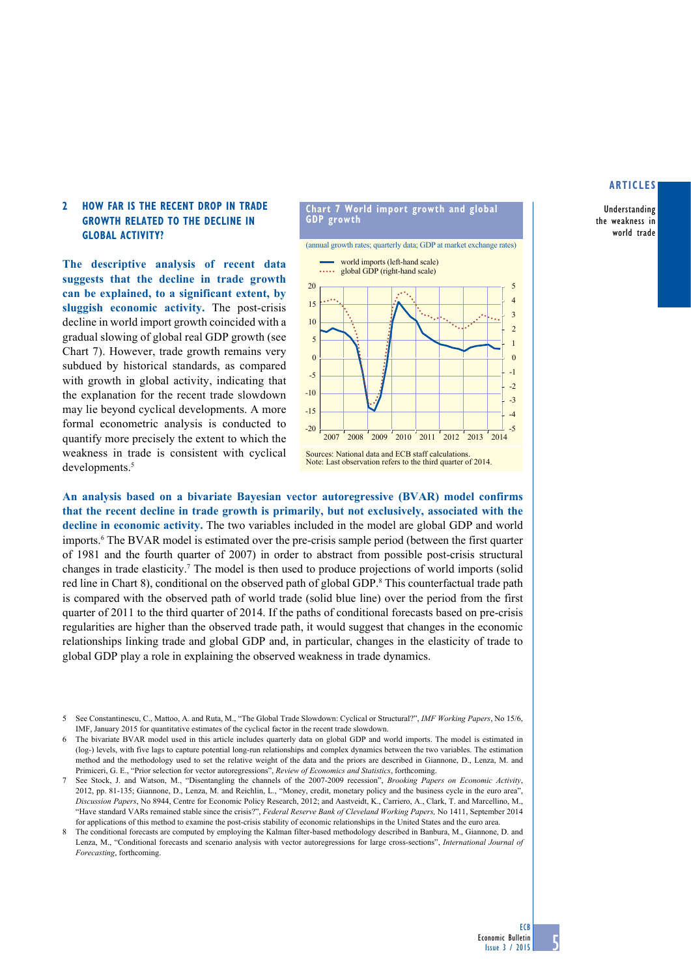## **articles**

Understanding the weakness in world trade

## **2 How far is the RECENT drop in trade growth RELATED TO THE DECLINE IN GLOBAL ACTIVITY?**

**The descriptive analysis of recent data suggests that the decline in trade growth can be explained, to a significant extent, by sluggish economic activity.** The post-crisis decline in world import growth coincided with a gradual slowing of global real GDP growth (see Chart 7). However, trade growth remains very subdued by historical standards, as compared with growth in global activity, indicating that the explanation for the recent trade slowdown may lie beyond cyclical developments. A more formal econometric analysis is conducted to quantify more precisely the extent to which the weakness in trade is consistent with cyclical developments.<sup>5</sup>



**An analysis based on a bivariate Bayesian vector autoregressive (BVAR) model confirms that the recent decline in trade growth is primarily, but not exclusively, associated with the decline in economic activity.** The two variables included in the model are global GDP and world imports.<sup>6</sup> The BVAR model is estimated over the pre-crisis sample period (between the first quarter of 1981 and the fourth quarter of 2007) in order to abstract from possible post-crisis structural changes in trade elasticity.<sup>7</sup> The model is then used to produce projections of world imports (solid red line in Chart 8), conditional on the observed path of global GDP.<sup>8</sup> This counterfactual trade path is compared with the observed path of world trade (solid blue line) over the period from the first quarter of 2011 to the third quarter of 2014. If the paths of conditional forecasts based on pre-crisis regularities are higher than the observed trade path, it would suggest that changes in the economic relationships linking trade and global GDP and, in particular, changes in the elasticity of trade to global GDP play a role in explaining the observed weakness in trade dynamics.

8 The conditional forecasts are computed by employing the Kalman filter-based methodology described in Banbura, M., Giannone, D. and Lenza, M., "Conditional forecasts and scenario analysis with vector autoregressions for large cross-sections", *International Journal of Forecasting*, forthcoming.

<sup>5</sup> See Constantinescu, C., Mattoo, A. and Ruta, M., "The Global Trade Slowdown: Cyclical or Structural?", *IMF Working Papers*, No 15/6, IMF, January 2015 for quantitative estimates of the cyclical factor in the recent trade slowdown.

The bivariate BVAR model used in this article includes quarterly data on global GDP and world imports. The model is estimated in (log-) levels, with five lags to capture potential long-run relationships and complex dynamics between the two variables. The estimation method and the methodology used to set the relative weight of the data and the priors are described in Giannone, D., Lenza, M. and Primiceri, G. E., "Prior selection for vector autoregressions", *Review of Economics and Statistics*, forthcoming.

<sup>7</sup> See Stock, J. and Watson, M., "Disentangling the channels of the 2007-2009 recession", *Brooking Papers on Economic Activity*, 2012, pp. 81-135; Giannone, D., Lenza, M. and Reichlin, L., "Money, credit, monetary policy and the business cycle in the euro area", *Discussion Papers*, No 8944, Centre for Economic Policy Research, 2012; and Aastveidt, K., Carriero, A., Clark, T. and Marcellino, M., "Have standard VARs remained stable since the crisis?", *Federal Reserve Bank of Cleveland Working Papers,* No 1411, September 2014 for applications of this method to examine the post-crisis stability of economic relationships in the United States and the euro area.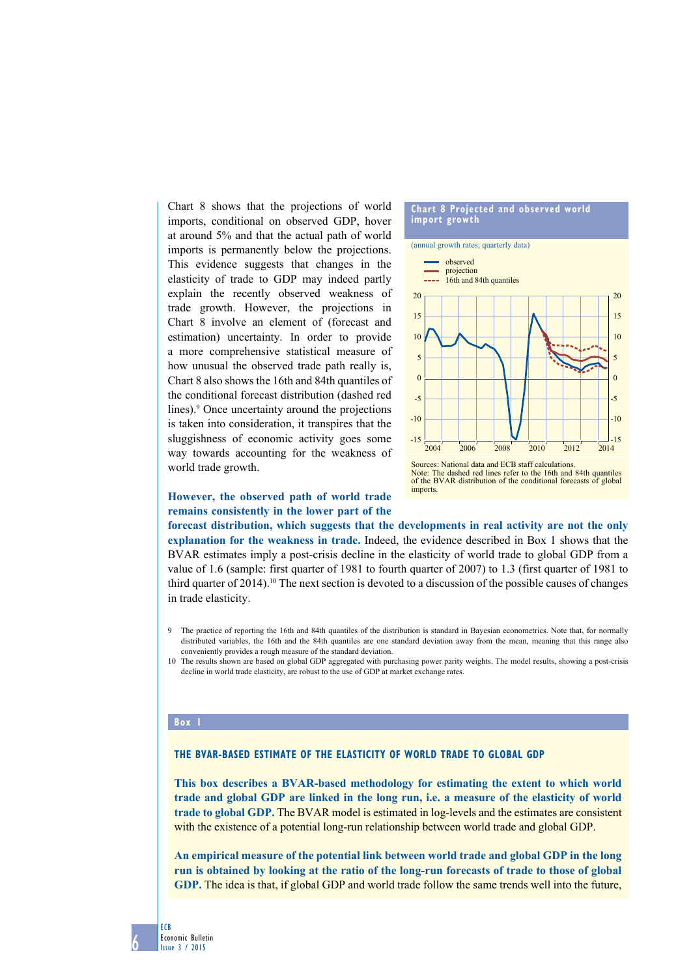Chart 8 shows that the projections of world imports, conditional on observed GDP, hover at around 5% and that the actual path of world imports is permanently below the projections. This evidence suggests that changes in the elasticity of trade to GDP may indeed partly explain the recently observed weakness of trade growth. However, the projections in Chart 8 involve an element of (forecast and estimation) uncertainty. In order to provide a more comprehensive statistical measure of how unusual the observed trade path really is, Chart 8 also shows the 16th and 84th quantiles of the conditional forecast distribution (dashed red lines).<sup>9</sup> Once uncertainty around the projections is taken into consideration, it transpires that the sluggishness of economic activity goes some way towards accounting for the weakness of world trade growth.



# **However, the observed path of world trade remains consistently in the lower part of the**

**forecast distribution, which suggests that the developments in real activity are not the only explanation for the weakness in trade.** Indeed, the evidence described in Box 1 shows that the BVAR estimates imply a post-crisis decline in the elasticity of world trade to global GDP from a value of 1.6 (sample: first quarter of 1981 to fourth quarter of 2007) to 1.3 (first quarter of 1981 to third quarter of 2014).10 The next section is devoted to a discussion of the possible causes of changes in trade elasticity.

- 9 The practice of reporting the 16th and 84th quantiles of the distribution is standard in Bayesian econometrics. Note that, for normally distributed variables, the 16th and the 84th quantiles are one standard deviation away from the mean, meaning that this range also conveniently provides a rough measure of the standard deviation.
- 10 The results shown are based on global GDP aggregated with purchasing power parity weights. The model results, showing a post-crisis decline in world trade elasticity, are robust to the use of GDP at market exchange rates.

#### **Box 1**

## **The BVAR-based estimate of the elasticity of world trade to global GDP**

**This box describes a BVAR-based methodology for estimating the extent to which world trade and global GDP are linked in the long run, i.e. a measure of the elasticity of world trade to global GDP.** The BVAR model is estimated in log-levels and the estimates are consistent with the existence of a potential long-run relationship between world trade and global GDP.

**An empirical measure of the potential link between world trade and global GDP in the long run is obtained by looking at the ratio of the long-run forecasts of trade to those of global GDP.** The idea is that, if global GDP and world trade follow the same trends well into the future,

ECB Economic Bulletin Issue 3 / 2015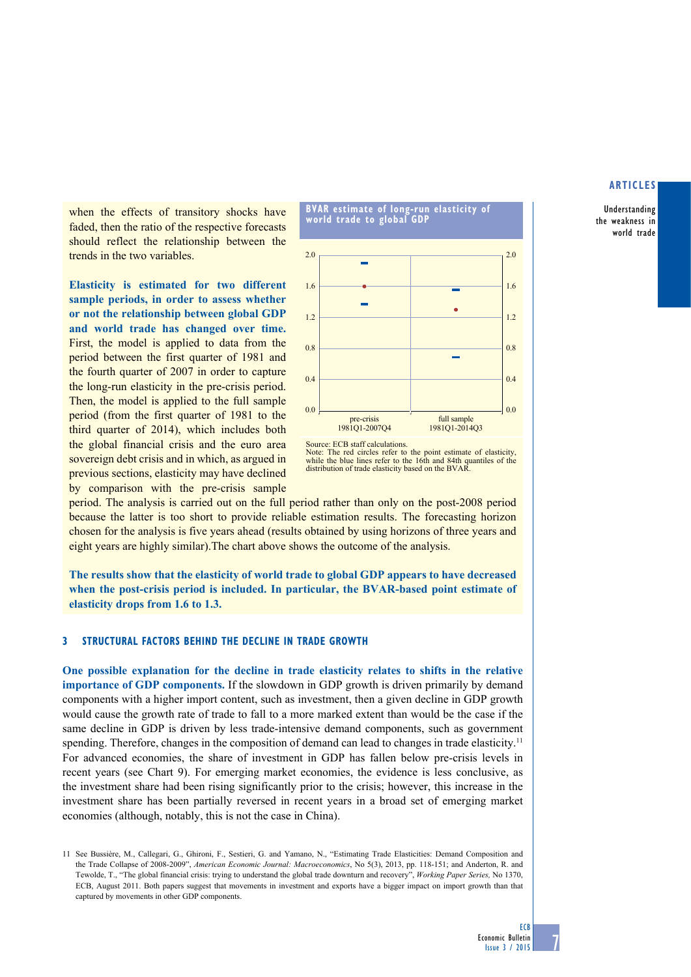## **articles**

Understanding the weakness in world trade

when the effects of transitory shocks have faded, then the ratio of the respective forecasts should reflect the relationship between the trends in the two variables.

**Elasticity is estimated for two different sample periods, in order to assess whether or not the relationship between global GDP and world trade has changed over time.**  First, the model is applied to data from the period between the first quarter of 1981 and the fourth quarter of 2007 in order to capture the long-run elasticity in the pre-crisis period. Then, the model is applied to the full sample period (from the first quarter of 1981 to the third quarter of 2014), which includes both the global financial crisis and the euro area sovereign debt crisis and in which, as argued in previous sections, elasticity may have declined by comparison with the pre-crisis sample



Note: The red circles refer to the point estimate of elasticity, while the blue lines refer to the 16th and 84th quantiles of the distribution of trade elasticity based on the BVAR.

period. The analysis is carried out on the full period rather than only on the post-2008 period because the latter is too short to provide reliable estimation results. The forecasting horizon chosen for the analysis is five years ahead (results obtained by using horizons of three years and eight years are highly similar).The chart above shows the outcome of the analysis.

**The results show that the elasticity of world trade to global GDP appears to have decreased when the post-crisis period is included. In particular, the BVAR-based point estimate of elasticity drops from 1.6 to 1.3.**

## **3 Structural factors behind the decline in trade growth**

**One possible explanation for the decline in trade elasticity relates to shifts in the relative importance of GDP components.** If the slowdown in GDP growth is driven primarily by demand components with a higher import content, such as investment, then a given decline in GDP growth would cause the growth rate of trade to fall to a more marked extent than would be the case if the same decline in GDP is driven by less trade-intensive demand components, such as government spending. Therefore, changes in the composition of demand can lead to changes in trade elasticity.<sup>11</sup> For advanced economies, the share of investment in GDP has fallen below pre-crisis levels in recent years (see Chart 9). For emerging market economies, the evidence is less conclusive, as the investment share had been rising significantly prior to the crisis; however, this increase in the investment share has been partially reversed in recent years in a broad set of emerging market economies (although, notably, this is not the case in China).

<sup>11</sup> See Bussière, M., Callegari, G., Ghironi, F., Sestieri, G. and Yamano, N., "Estimating Trade Elasticities: Demand Composition and the Trade Collapse of 2008-2009", *American Economic Journal: Macroeconomics*, No 5(3), 2013, pp. 118-151; and Anderton, R. and Tewolde, T., "The global financial crisis: trying to understand the global trade downturn and recovery", *Working Paper Series,* No 1370, ECB, August 2011. Both papers suggest that movements in investment and exports have a bigger impact on import growth than that captured by movements in other GDP components.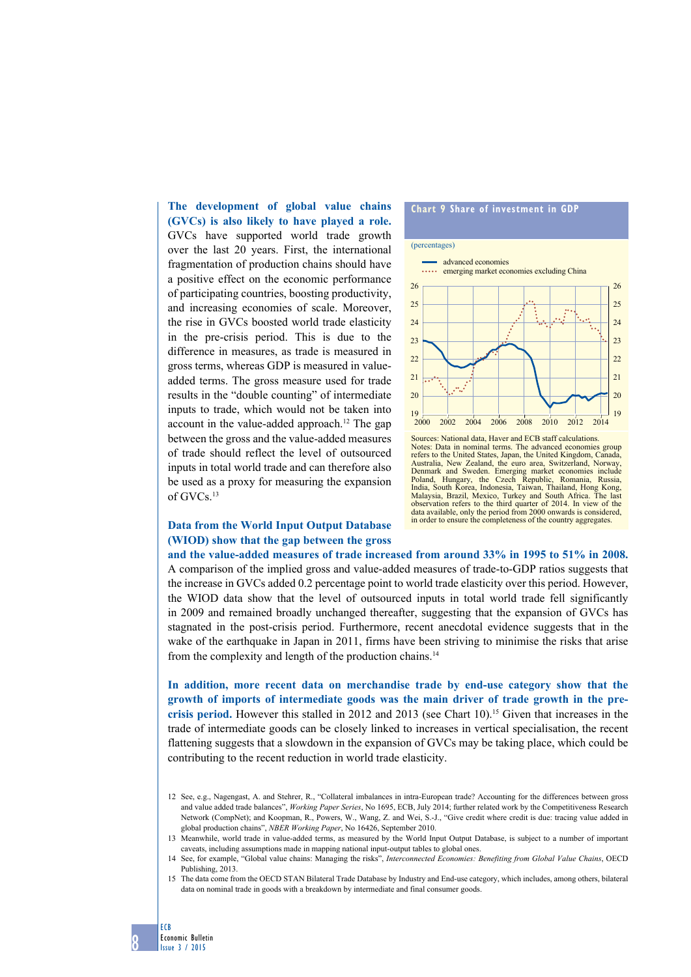**The development of global value chains (GVCs) is also likely to have played a role.** GVCs have supported world trade growth over the last 20 years. First, the international fragmentation of production chains should have a positive effect on the economic performance of participating countries, boosting productivity, and increasing economies of scale. Moreover, the rise in GVCs boosted world trade elasticity in the pre-crisis period. This is due to the difference in measures, as trade is measured in gross terms, whereas GDP is measured in valueadded terms. The gross measure used for trade results in the "double counting" of intermediate inputs to trade, which would not be taken into account in the value-added approach.12 The gap between the gross and the value-added measures of trade should reflect the level of outsourced inputs in total world trade and can therefore also be used as a proxy for measuring the expansion of GVCs.13

# **Data from the World Input Output Database (WIOD) show that the gap between the gross**

8

ECB

Economic Bulletin Issue 3 / 2015

## **Chart 9 Share of investment in GDP**



Sources: National data, Haver and ECB staff calculations. Notes: Data in nominal terms. The advanced economies group refers to the United States, Japan, the United Kingdom, C Australia, New Zealand, the euro area, Switzerland, Norway, Denmark and Sweden. Emerging market economies include Poland, Hungary, the Czech Republic, Romania, Russia, India, South Korea, Indonesia, Taiwan, Thailand, Hong Kong, Malaysia, Brazil, Mexico, Turkey and South Africa. The last observation refers to the third quarter of 2014. In view of the data available, only the period from 2000 onwards is considered, in order to ensure the completeness of the country aggregates.

**and the value-added measures of trade increased from around 33% in 1995 to 51% in 2008.** A comparison of the implied gross and value-added measures of trade-to-GDP ratios suggests that the increase in GVCs added 0.2 percentage point to world trade elasticity over this period. However, the WIOD data show that the level of outsourced inputs in total world trade fell significantly in 2009 and remained broadly unchanged thereafter, suggesting that the expansion of GVCs has stagnated in the post-crisis period. Furthermore, recent anecdotal evidence suggests that in the wake of the earthquake in Japan in 2011, firms have been striving to minimise the risks that arise from the complexity and length of the production chains.14

**In addition, more recent data on merchandise trade by end-use category show that the growth of imports of intermediate goods was the main driver of trade growth in the precrisis period.** However this stalled in 2012 and 2013 (see Chart 10).15 Given that increases in the trade of intermediate goods can be closely linked to increases in vertical specialisation, the recent flattening suggests that a slowdown in the expansion of GVCs may be taking place, which could be contributing to the recent reduction in world trade elasticity.

12 See, e.g., Nagengast, A. and Stehrer, R., "Collateral imbalances in intra-European trade? Accounting for the differences between gross and value added trade balances", *Working Paper Series*, No 1695, ECB, July 2014; further related work by the Competitiveness Research Network (CompNet); and Koopman, R., Powers, W., Wang, Z. and Wei, S.-J., "Give credit where credit is due: tracing value added in global production chains", *NBER Working Paper*, No 16426, September 2010.

15 The data come from the OECD STAN Bilateral Trade Database by Industry and End-use category, which includes, among others, bilateral data on nominal trade in goods with a breakdown by intermediate and final consumer goods.

<sup>13</sup> Meanwhile, world trade in value-added terms, as measured by the World Input Output Database, is subject to a number of important caveats, including assumptions made in mapping national input-output tables to global ones.

<sup>14</sup> See, for example, "Global value chains: Managing the risks", *Interconnected Economies: Benefiting from Global Value Chains*, OECD Publishing, 2013.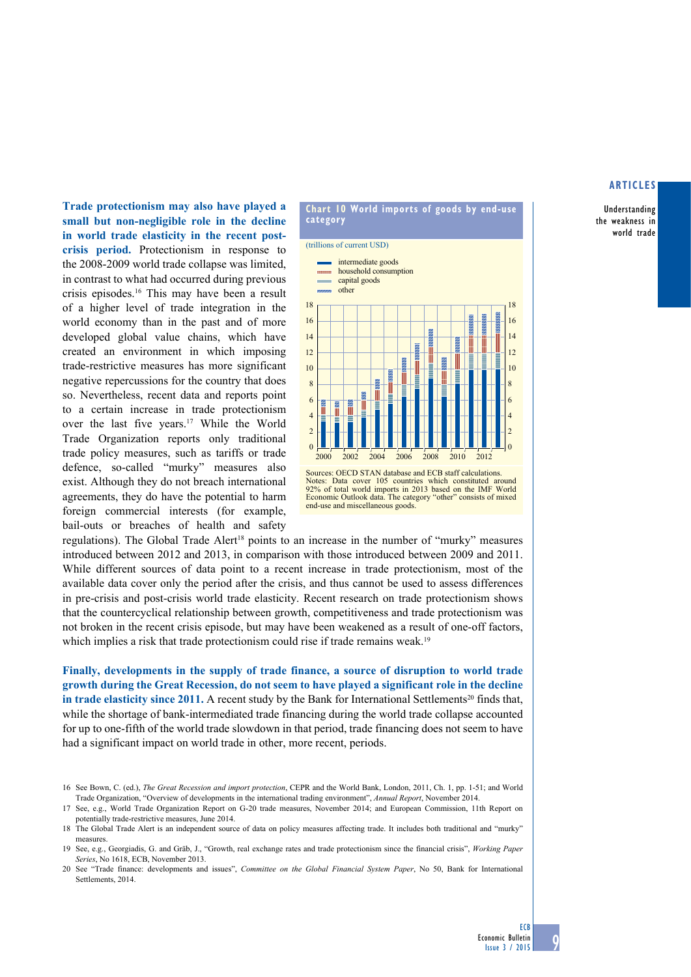#### **articles**

Understanding the weakness in world trade

**Trade protectionism may also have played a small but non-negligible role in the decline in world trade elasticity in the recent postcrisis period.** Protectionism in response to the 2008-2009 world trade collapse was limited, in contrast to what had occurred during previous crisis episodes.16 This may have been a result of a higher level of trade integration in the world economy than in the past and of more developed global value chains, which have created an environment in which imposing trade-restrictive measures has more significant negative repercussions for the country that does so. Nevertheless, recent data and reports point to a certain increase in trade protectionism over the last five years.17 While the World Trade Organization reports only traditional trade policy measures, such as tariffs or trade defence, so-called "murky" measures also exist. Although they do not breach international agreements, they do have the potential to harm foreign commercial interests (for example, bail-outs or breaches of health and safety



**Chart 10 world imports of goods by end-use** 

Sources: OECD STAN database and ECB staff calculations. Notes: Data cover 105 countries which constituted around 92% of total world imports in 2013 based on the IMF World Economic Outlook data. The category "other" consists of mixed end-use and miscellaneous goods.

regulations). The Global Trade Alert<sup>18</sup> points to an increase in the number of "murky" measures introduced between 2012 and 2013, in comparison with those introduced between 2009 and 2011. While different sources of data point to a recent increase in trade protectionism, most of the available data cover only the period after the crisis, and thus cannot be used to assess differences in pre-crisis and post-crisis world trade elasticity. Recent research on trade protectionism shows that the countercyclical relationship between growth, competitiveness and trade protectionism was not broken in the recent crisis episode, but may have been weakened as a result of one-off factors, which implies a risk that trade protectionism could rise if trade remains weak.<sup>19</sup>

**Finally, developments in the supply of trade finance, a source of disruption to world trade growth during the Great Recession, do not seem to have played a significant role in the decline in trade elasticity since 2011.** A recent study by the Bank for International Settlements<sup>20</sup> finds that, while the shortage of bank-intermediated trade financing during the world trade collapse accounted for up to one-fifth of the world trade slowdown in that period, trade financing does not seem to have had a significant impact on world trade in other, more recent, periods.

<sup>16</sup> See Bown, C. (ed.), *The Great Recession and import protection*, CEPR and the World Bank, London, 2011, Ch. 1, pp. 1-51; and World Trade Organization, "Overview of developments in the international trading environment", *Annual Report*, November 2014.

<sup>17</sup> See, e.g., World Trade Organization Report on G-20 trade measures, November 2014; and European Commission, 11th Report on potentially trade-restrictive measures, June 2014.

<sup>18</sup> The Global Trade Alert is an independent source of data on policy measures affecting trade. It includes both traditional and "murky" measures.

<sup>19</sup> See, e.g., Georgiadis, G. and Gräb, J., "Growth, real exchange rates and trade protectionism since the financial crisis", *Working Paper Series*, No 1618, ECB, November 2013.

<sup>20</sup> See "Trade finance: developments and issues", *Committee on the Global Financial System Paper*, No 50, Bank for International Settlements, 2014.